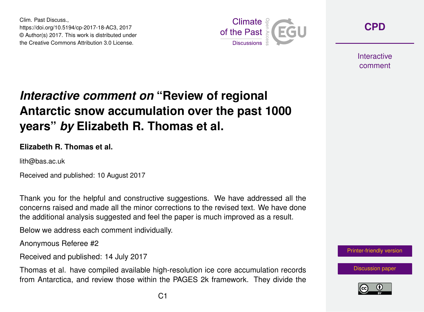Clim. Past Discuss., https://doi.org/10.5194/cp-2017-18-AC3, 2017 © Author(s) 2017. This work is distributed under the Creative Commons Attribution 3.0 License.



**[CPD](https://www.clim-past-discuss.net/)**

**Interactive** comment

## *Interactive comment on* **"Review of regional Antarctic snow accumulation over the past 1000 years"** *by* **Elizabeth R. Thomas et al.**

## **Elizabeth R. Thomas et al.**

lith@bas.ac.uk

Received and published: 10 August 2017

Thank you for the helpful and constructive suggestions. We have addressed all the concerns raised and made all the minor corrections to the revised text. We have done the additional analysis suggested and feel the paper is much improved as a result.

Below we address each comment individually.

Anonymous Referee #2

Received and published: 14 July 2017

Thomas et al. have compiled available high-resolution ice core accumulation records from Antarctica, and review those within the PAGES 2k framework. They divide the



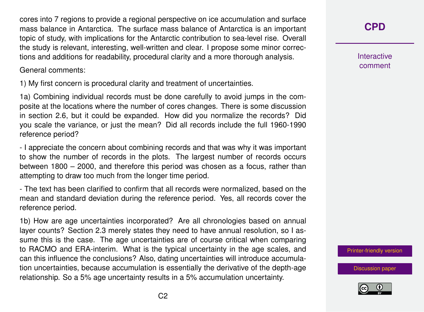cores into 7 regions to provide a regional perspective on ice accumulation and surface mass balance in Antarctica. The surface mass balance of Antarctica is an important topic of study, with implications for the Antarctic contribution to sea-level rise. Overall the study is relevant, interesting, well-written and clear. I propose some minor corrections and additions for readability, procedural clarity and a more thorough analysis.

General comments:

1) My first concern is procedural clarity and treatment of uncertainties.

1a) Combining individual records must be done carefully to avoid jumps in the composite at the locations where the number of cores changes. There is some discussion in section 2.6, but it could be expanded. How did you normalize the records? Did you scale the variance, or just the mean? Did all records include the full 1960-1990 reference period?

- I appreciate the concern about combining records and that was why it was important to show the number of records in the plots. The largest number of records occurs between 1800 – 2000, and therefore this period was chosen as a focus, rather than attempting to draw too much from the longer time period.

- The text has been clarified to confirm that all records were normalized, based on the mean and standard deviation during the reference period. Yes, all records cover the reference period.

1b) How are age uncertainties incorporated? Are all chronologies based on annual layer counts? Section 2.3 merely states they need to have annual resolution, so I assume this is the case. The age uncertainties are of course critical when comparing to RACMO and ERA-interim. What is the typical uncertainty in the age scales, and can this influence the conclusions? Also, dating uncertainties will introduce accumulation uncertainties, because accumulation is essentially the derivative of the depth-age relationship. So a 5% age uncertainty results in a 5% accumulation uncertainty.

**[CPD](https://www.clim-past-discuss.net/)**

**Interactive** comment

[Printer-friendly version](https://www.clim-past-discuss.net/cp-2017-18/cp-2017-18-AC3-print.pdf)

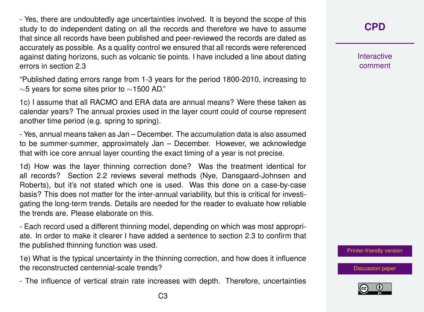- Yes, there are undoubtedly age uncertainties involved. It is beyond the scope of this study to do independent dating on all the records and therefore we have to assume that since all records have been published and peer-reviewed the records are dated as accurately as possible. As a quality control we ensured that all records were referenced against dating horizons, such as volcanic tie points. I have included a line about dating errors in section 2.3

"Published dating errors range from 1-3 years for the period 1800-2010, increasing to ∼5 years for some sites prior to ∼1500 AD."

1c) I assume that all RACMO and ERA data are annual means? Were these taken as calendar years? The annual proxies used in the layer count could of course represent another time period (e.g. spring to spring).

- Yes, annual means taken as Jan – December. The accumulation data is also assumed to be summer-summer, approximately Jan – December. However, we acknowledge that with ice core annual layer counting the exact timing of a year is not precise.

1d) How was the layer thinning correction done? Was the treatment identical for all records? Section 2.2 reviews several methods (Nye, Dansgaard-Johnsen and Roberts), but it's not stated which one is used. Was this done on a case-by-case basis? This does not matter for the inter-annual variability, but this is critical for investigating the long-term trends. Details are needed for the reader to evaluate how reliable the trends are. Please elaborate on this.

- Each record used a different thinning model, depending on which was most appropriate. In order to make it clearer I have added a sentence to section 2.3 to confirm that the published thinning function was used.

1e) What is the typical uncertainty in the thinning correction, and how does it influence the reconstructed centennial-scale trends?

- The influence of vertical strain rate increases with depth. Therefore, uncertainties

**[CPD](https://www.clim-past-discuss.net/)**

**Interactive** comment

[Printer-friendly version](https://www.clim-past-discuss.net/cp-2017-18/cp-2017-18-AC3-print.pdf)

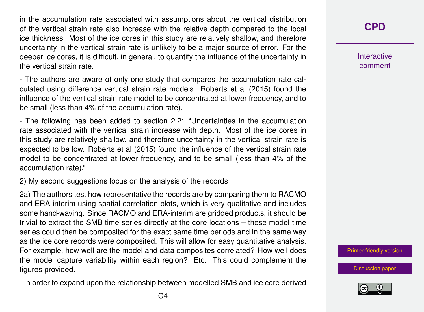in the accumulation rate associated with assumptions about the vertical distribution of the vertical strain rate also increase with the relative depth compared to the local ice thickness. Most of the ice cores in this study are relatively shallow, and therefore uncertainty in the vertical strain rate is unlikely to be a major source of error. For the deeper ice cores, it is difficult, in general, to quantify the influence of the uncertainty in the vertical strain rate.

- The authors are aware of only one study that compares the accumulation rate calculated using difference vertical strain rate models: Roberts et al (2015) found the influence of the vertical strain rate model to be concentrated at lower frequency, and to be small (less than 4% of the accumulation rate).

- The following has been added to section 2.2: "Uncertainties in the accumulation rate associated with the vertical strain increase with depth. Most of the ice cores in this study are relatively shallow, and therefore uncertainty in the vertical strain rate is expected to be low. Roberts et al (2015) found the influence of the vertical strain rate model to be concentrated at lower frequency, and to be small (less than 4% of the accumulation rate)."

2) My second suggestions focus on the analysis of the records

2a) The authors test how representative the records are by comparing them to RACMO and ERA-interim using spatial correlation plots, which is very qualitative and includes some hand-waving. Since RACMO and ERA-interim are gridded products, it should be trivial to extract the SMB time series directly at the core locations – these model time series could then be composited for the exact same time periods and in the same way as the ice core records were composited. This will allow for easy quantitative analysis. For example, how well are the model and data composites correlated? How well does the model capture variability within each region? Etc. This could complement the figures provided.

- In order to expand upon the relationship between modelled SMB and ice core derived

## **[CPD](https://www.clim-past-discuss.net/)**

**Interactive** comment

[Printer-friendly version](https://www.clim-past-discuss.net/cp-2017-18/cp-2017-18-AC3-print.pdf)

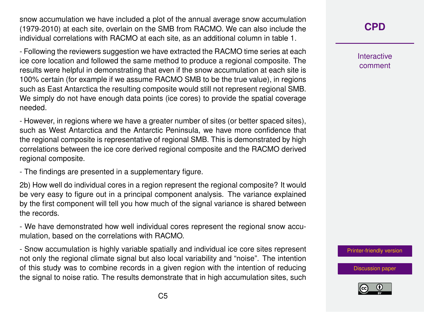snow accumulation we have included a plot of the annual average snow accumulation (1979-2010) at each site, overlain on the SMB from RACMO. We can also include the individual correlations with RACMO at each site, as an additional column in table 1.

- Following the reviewers suggestion we have extracted the RACMO time series at each ice core location and followed the same method to produce a regional composite. The results were helpful in demonstrating that even if the snow accumulation at each site is 100% certain (for example if we assume RACMO SMB to be the true value), in regions such as East Antarctica the resulting composite would still not represent regional SMB. We simply do not have enough data points (ice cores) to provide the spatial coverage needed.

- However, in regions where we have a greater number of sites (or better spaced sites), such as West Antarctica and the Antarctic Peninsula, we have more confidence that the regional composite is representative of regional SMB. This is demonstrated by high correlations between the ice core derived regional composite and the RACMO derived regional composite.

- The findings are presented in a supplementary figure.

2b) How well do individual cores in a region represent the regional composite? It would be very easy to figure out in a principal component analysis. The variance explained by the first component will tell you how much of the signal variance is shared between the records.

- We have demonstrated how well individual cores represent the regional snow accumulation, based on the correlations with RACMO.

- Snow accumulation is highly variable spatially and individual ice core sites represent not only the regional climate signal but also local variability and "noise". The intention of this study was to combine records in a given region with the intention of reducing the signal to noise ratio. The results demonstrate that in high accumulation sites, such

**[CPD](https://www.clim-past-discuss.net/)**

**Interactive** comment

[Printer-friendly version](https://www.clim-past-discuss.net/cp-2017-18/cp-2017-18-AC3-print.pdf)

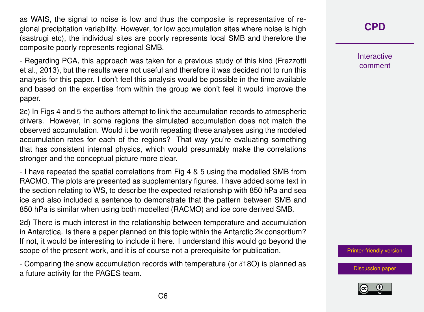as WAIS, the signal to noise is low and thus the composite is representative of regional precipitation variability. However, for low accumulation sites where noise is high (sastrugi etc), the individual sites are poorly represents local SMB and therefore the composite poorly represents regional SMB.

- Regarding PCA, this approach was taken for a previous study of this kind (Frezzotti et al., 2013), but the results were not useful and therefore it was decided not to run this analysis for this paper. I don't feel this analysis would be possible in the time available and based on the expertise from within the group we don't feel it would improve the paper.

2c) In Figs 4 and 5 the authors attempt to link the accumulation records to atmospheric drivers. However, in some regions the simulated accumulation does not match the observed accumulation. Would it be worth repeating these analyses using the modeled accumulation rates for each of the regions? That way you're evaluating something that has consistent internal physics, which would presumably make the correlations stronger and the conceptual picture more clear.

- I have repeated the spatial correlations from Fig 4 & 5 using the modelled SMB from RACMO. The plots are presented as supplementary figures. I have added some text in the section relating to WS, to describe the expected relationship with 850 hPa and sea ice and also included a sentence to demonstrate that the pattern between SMB and 850 hPa is similar when using both modelled (RACMO) and ice core derived SMB.

2d) There is much interest in the relationship between temperature and accumulation in Antarctica. Is there a paper planned on this topic within the Antarctic 2k consortium? If not, it would be interesting to include it here. I understand this would go beyond the scope of the present work, and it is of course not a prerequisite for publication.

- Comparing the snow accumulation records with temperature (or  $\delta$ 180) is planned as a future activity for the PAGES team.

**[CPD](https://www.clim-past-discuss.net/)**

**Interactive** comment

[Printer-friendly version](https://www.clim-past-discuss.net/cp-2017-18/cp-2017-18-AC3-print.pdf)

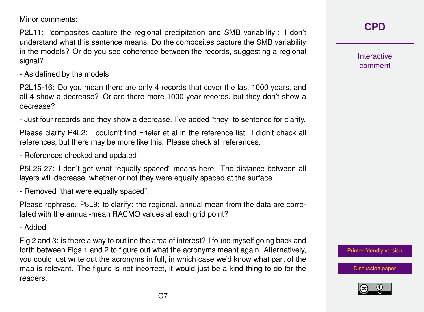Minor comments:

P2L11: "composites capture the regional precipitation and SMB variability": I don't understand what this sentence means. Do the composites capture the SMB variability in the models? Or do you see coherence between the records, suggesting a regional signal?

- As defined by the models

P2L15-16: Do you mean there are only 4 records that cover the last 1000 years, and all 4 show a decrease? Or are there more 1000 year records, but they don't show a decrease?

- Just four records and they show a decrease. I've added "they" to sentence for clarity.

Please clarify P4L2: I couldn't find Frieler et al in the reference list. I didn't check all references, but there may be more like this. Please check all references.

- References checked and updated

P5L26-27: I don't get what "equally spaced" means here. The distance between all layers will decrease, whether or not they were equally spaced at the surface.

- Removed "that were equally spaced".

Please rephrase. P8L9: to clarify: the regional, annual mean from the data are correlated with the annual-mean RACMO values at each grid point?

- Added

Fig 2 and 3: is there a way to outline the area of interest? I found myself going back and forth between Figs 1 and 2 to figure out what the acronyms meant again. Alternatively, you could just write out the acronyms in full, in which case we'd know what part of the map is relevant. The figure is not incorrect, it would just be a kind thing to do for the readers.

**[CPD](https://www.clim-past-discuss.net/)**

**Interactive** comment

[Printer-friendly version](https://www.clim-past-discuss.net/cp-2017-18/cp-2017-18-AC3-print.pdf)

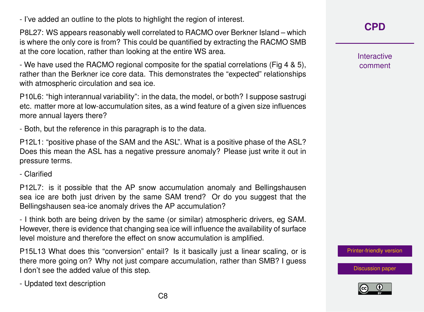- I've added an outline to the plots to highlight the region of interest.

P8L27: WS appears reasonably well correlated to RACMO over Berkner Island – which is where the only core is from? This could be quantified by extracting the RACMO SMB at the core location, rather than looking at the entire WS area.

- We have used the RACMO regional composite for the spatial correlations (Fig 4 & 5), rather than the Berkner ice core data. This demonstrates the "expected" relationships with atmospheric circulation and sea ice.

P10L6: "high interannual variability": in the data, the model, or both? I suppose sastrugi etc. matter more at low-accumulation sites, as a wind feature of a given size influences more annual layers there?

- Both, but the reference in this paragraph is to the data.

P12L1: "positive phase of the SAM and the ASL". What is a positive phase of the ASL? Does this mean the ASL has a negative pressure anomaly? Please just write it out in pressure terms.

- Clarified

P12L7: is it possible that the AP snow accumulation anomaly and Bellingshausen sea ice are both just driven by the same SAM trend? Or do you suggest that the Bellingshausen sea-ice anomaly drives the AP accumulation?

- I think both are being driven by the same (or similar) atmospheric drivers, eg SAM. However, there is evidence that changing sea ice will influence the availability of surface level moisture and therefore the effect on snow accumulation is amplified.

P15L13 What does this "conversion" entail? Is it basically just a linear scaling, or is there more going on? Why not just compare accumulation, rather than SMB? I guess I don't see the added value of this step.

- Updated text description

**[CPD](https://www.clim-past-discuss.net/)**

**Interactive** comment

[Printer-friendly version](https://www.clim-past-discuss.net/cp-2017-18/cp-2017-18-AC3-print.pdf)

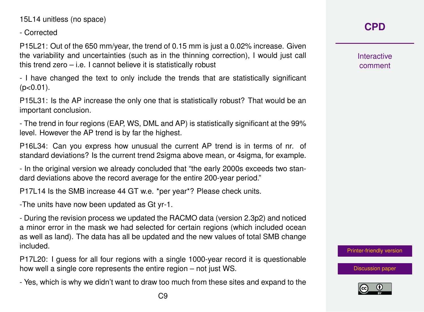15L14 unitless (no space)

- Corrected

P15L21: Out of the 650 mm/year, the trend of 0.15 mm is just a 0.02% increase. Given the variability and uncertainties (such as in the thinning correction), I would just call this trend zero – i.e. I cannot believe it is statistically robust

- I have changed the text to only include the trends that are statistically significant  $(p<0.01)$ .

P15L31: Is the AP increase the only one that is statistically robust? That would be an important conclusion.

- The trend in four regions (EAP, WS, DML and AP) is statistically significant at the 99% level. However the AP trend is by far the highest.

P16L34: Can you express how unusual the current AP trend is in terms of nr. of standard deviations? Is the current trend 2sigma above mean, or 4sigma, for example.

- In the original version we already concluded that "the early 2000s exceeds two standard deviations above the record average for the entire 200-year period."

P17L14 Is the SMB increase 44 GT w.e. \*per year\*? Please check units.

-The units have now been updated as Gt yr-1.

- During the revision process we updated the RACMO data (version 2.3p2) and noticed a minor error in the mask we had selected for certain regions (which included ocean as well as land). The data has all be updated and the new values of total SMB change included.

P17L20: I guess for all four regions with a single 1000-year record it is questionable how well a single core represents the entire region – not just WS.

- Yes, which is why we didn't want to draw too much from these sites and expand to the

**Interactive** comment

[Printer-friendly version](https://www.clim-past-discuss.net/cp-2017-18/cp-2017-18-AC3-print.pdf)